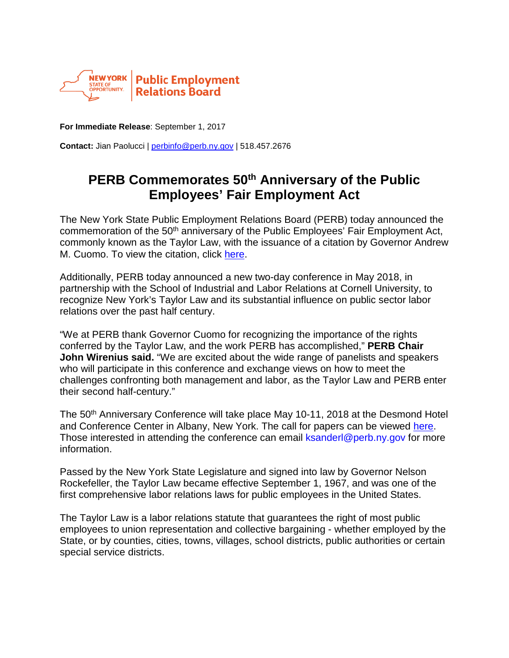

**For Immediate Release**: September 1, 2017

**Contact:** Jian Paolucci | [perbinfo@perb.ny.gov](mailto:perbinfo@perb.ny.gov) | 518.457.2676

## **PERB Commemorates 50th Anniversary of the Public Employees' Fair Employment Act**

The New York State Public Employment Relations Board (PERB) today announced the commemoration of the 50<sup>th</sup> anniversary of the Public Employees' Fair Employment Act, commonly known as the Taylor Law, with the issuance of a citation by Governor Andrew M. Cuomo. To view the citation, click [here.](http://www.perb.ny.gov/pdf/Taylor%20Law%20CITE.pdf)

Additionally, PERB today announced a new two-day conference in May 2018, in partnership with the School of Industrial and Labor Relations at Cornell University, to recognize New York's Taylor Law and its substantial influence on public sector labor relations over the past half century.

"We at PERB thank Governor Cuomo for recognizing the importance of the rights conferred by the Taylor Law, and the work PERB has accomplished," **PERB Chair John Wirenius said.** "We are excited about the wide range of panelists and speakers who will participate in this conference and exchange views on how to meet the challenges confronting both management and labor, as the Taylor Law and PERB enter their second half-century."

The 50<sup>th</sup> Anniversary Conference will take place May 10-11, 2018 at the Desmond Hotel and Conference Center in Albany, New York. The call for papers can be viewed [here.](http://www.perb.ny.gov/pdf/call%20for%20papers.pdf) Those interested in attending the conference can email [ksanderl@perb.ny.gov](mailto:ksanderl@perb.ny.gov) for more information.

Passed by the New York State Legislature and signed into law by Governor Nelson Rockefeller, the Taylor Law became effective September 1, 1967, and was one of the first comprehensive labor relations laws for public employees in the United States.

The Taylor Law is a labor relations statute that guarantees the right of most public employees to union representation and collective bargaining - whether employed by the State, or by counties, cities, towns, villages, school districts, public authorities or certain special service districts.